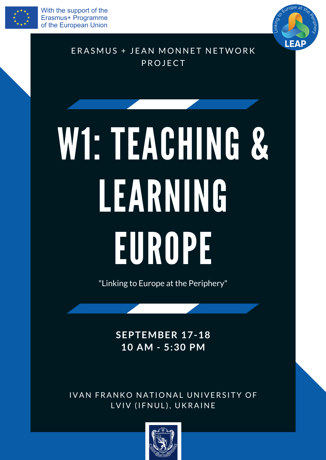



# ERASMUS + JEAN MONNET NETWORK PROJECT

# W1: TEACHING & LEARNING EUROPEE

"Linking to Europe at the Periphery"

# **SEPTEMBER 17-18 10 AM - 5:30 PM**

# IVAN FRANKO NATIONAL UNIVERSITY OF LVIV (IFNUL), UKRAINE

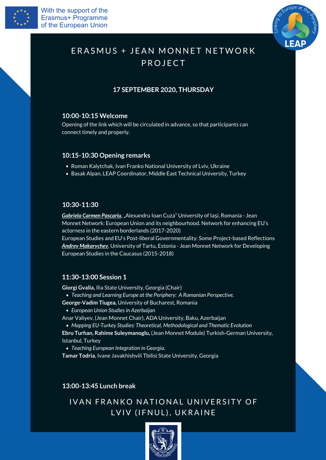



# ERASMUS + JEAN MONNET NETWORK PROJECT

## **10:00-10:15 Welcome**

Opening of the link which will be circulated in advance, so that participants can connect timely and properly.

- Roman Kalytchak, Ivan Franko National University of Lviv, Ukraine
- Basak Alpan, LEAP Coordinator, Middle East Technical University, Turkey

**Gabriela Carmen Pascariu**, "Alexandru Ioan Cuza" University of Iași, Romania - Jean Monnet Network: European Union and its neighbourhood. Network for enhancing EU's actorness in the eastern borderlands (2017-2020) European Studies and EU's Post-liberal Governmentality: Some Project-based Reflections

*Andrey Makarychev*, University of Tartu, Estonia - Jean Monnet Network for Developing European Studies in the Caucasus (2015-2018)

- *Teaching and Learning Europe at the Periphery: A Romanian Perspective.* **George-Vadim Tiugea,** University of Bucharest, Romania
	- *European Union Studiesin Azerbaijan*

*Teaching European Integration in Georgia.*

**Giorgi Gvalia,** Ilia State University, Georgia (Chair)

*Mapping EU-Turkey Studies: Theoretical, Methodological and Thematic Evolution* **Ebru Turhan, Rahime Suleymanoglu,** (Jean Monnet Module) Turkish-German University,

Anar Valiyev, (Jean Monnet Chair), ADA University, Baku, Azerbaijan

Istanbul, Turkey

**Tamar Todria**, Ivane Javakhishvili Tbilisi State University, Georgia

## **10:15-10:30 Opening remarks**

## **10:30-11:30**

## **11:30-13:00 Session 1**

**13:00-13:45 Lunch break**

# IVAN FRANKO NATIONAL UNIVERSITY OF LVIV (IFNUL), UKRAINE



## **17 SEPTEMBER 2020, THURSDAY**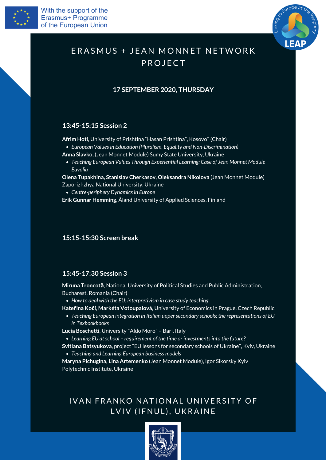



# ERASMUS + JEAN MONNET NETWORK PROJECT

*How to deal with the EU: interpretivism in case study teaching*

*Teaching European integration in Italian uppersecondary schools: the representations of EU in Texbookbooks*

*Learning EU atschool – requirement of the time or investmentsinto the future?*

*Teaching and Learning European business models*

**Miruna Troncotă**, National University of Political Studies and Public Administration, Bucharest, Romania (Chair)

**Kateřina Kočí**, **Markéta Votoupalová**, University of Economics in Prague, Czech Republic

**Lucia Boschetti**, University "Aldo Moro" – Bari, Italy

**Svitlana Batsyukova**, project "EU lessons for secondary schools of Ukraine" , Kyiv, Ukraine

**Maryna Pichugina, Lina Artemenko** (Jean Monnet Module), Igor Sikorsky Kyiv Polytechnic Institute, Ukraine

# IVAN FRANKO NATIONAL UNIVERSITY OF LVIV (IFNUL), UKRAINE



#### **15:15-15:30 Screen break**

## **15:45-17:30 Session 3**

*European Valuesin Education (Pluralism, Equality and Non-Discrimination)*

*Teaching European Values Through Experiential Learning: Case of Jean Monnet Module Euvolia*

*Centre-periphery Dynamicsin Europe*

**Afrim Hoti,** University of Prishtina "Hasan Prishtina" , Kosovo\* (Chair)

**Anna Slavko,** (Jean Monnet Module) Sumy State University, Ukraine

**Olena Tupakhina, Stanislav Cherkasov, Oleksandra Nikolova** (Jean Monnet Module) Zaporizhzhya National University, Ukraine

**Erik Gunnar Hemming**, Åland University of Applied Sciences, Finland

## **13:45-15:15 Session 2**

# **17 SEPTEMBER 2020, THURSDAY**